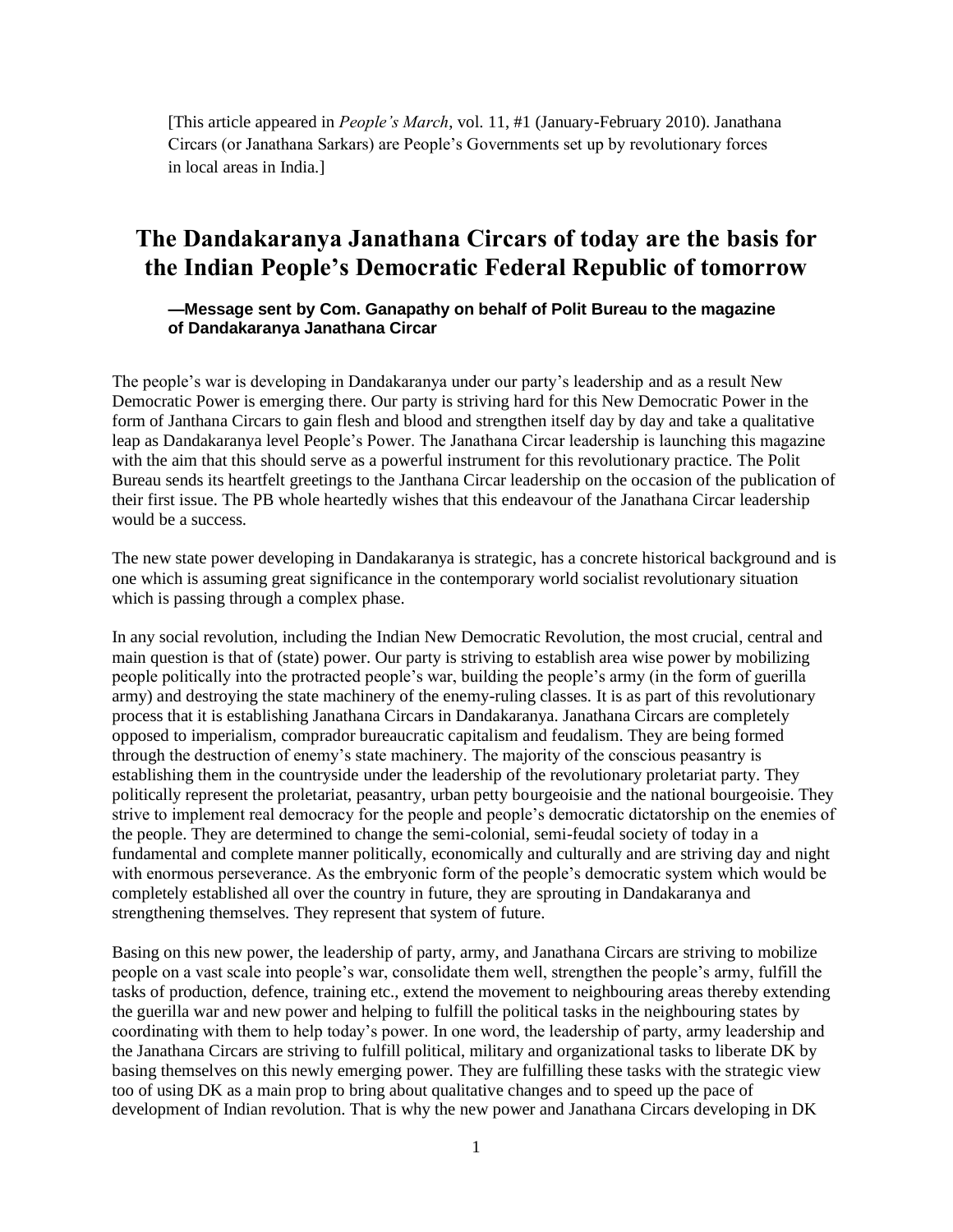[This article appeared in *People's March*, vol. 11, #1 (January-February 2010). Janathana Circars (or Janathana Sarkars) are People's Governments set up by revolutionary forces in local areas in India.]

## **The Dandakaranya Janathana Circars of today are the basis for the Indian People's Democratic Federal Republic of tomorrow**

**—Message sent by Com. Ganapathy on behalf of Polit Bureau to the magazine of Dandakaranya Janathana Circar**

The people's war is developing in Dandakaranya under our party's leadership and as a result New Democratic Power is emerging there. Our party is striving hard for this New Democratic Power in the form of Janthana Circars to gain flesh and blood and strengthen itself day by day and take a qualitative leap as Dandakaranya level People's Power. The Janathana Circar leadership is launching this magazine with the aim that this should serve as a powerful instrument for this revolutionary practice. The Polit Bureau sends its heartfelt greetings to the Janthana Circar leadership on the occasion of the publication of their first issue. The PB whole heartedly wishes that this endeavour of the Janathana Circar leadership would be a success.

The new state power developing in Dandakaranya is strategic, has a concrete historical background and is one which is assuming great significance in the contemporary world socialist revolutionary situation which is passing through a complex phase.

In any social revolution, including the Indian New Democratic Revolution, the most crucial, central and main question is that of (state) power. Our party is striving to establish area wise power by mobilizing people politically into the protracted people's war, building the people's army (in the form of guerilla army) and destroying the state machinery of the enemy-ruling classes. It is as part of this revolutionary process that it is establishing Janathana Circars in Dandakaranya. Janathana Circars are completely opposed to imperialism, comprador bureaucratic capitalism and feudalism. They are being formed through the destruction of enemy's state machinery. The majority of the conscious peasantry is establishing them in the countryside under the leadership of the revolutionary proletariat party. They politically represent the proletariat, peasantry, urban petty bourgeoisie and the national bourgeoisie. They strive to implement real democracy for the people and people's democratic dictatorship on the enemies of the people. They are determined to change the semi-colonial, semi-feudal society of today in a fundamental and complete manner politically, economically and culturally and are striving day and night with enormous perseverance. As the embryonic form of the people's democratic system which would be completely established all over the country in future, they are sprouting in Dandakaranya and strengthening themselves. They represent that system of future.

Basing on this new power, the leadership of party, army, and Janathana Circars are striving to mobilize people on a vast scale into people's war, consolidate them well, strengthen the people's army, fulfill the tasks of production, defence, training etc., extend the movement to neighbouring areas thereby extending the guerilla war and new power and helping to fulfill the political tasks in the neighbouring states by coordinating with them to help today's power. In one word, the leadership of party, army leadership and the Janathana Circars are striving to fulfill political, military and organizational tasks to liberate DK by basing themselves on this newly emerging power. They are fulfilling these tasks with the strategic view too of using DK as a main prop to bring about qualitative changes and to speed up the pace of development of Indian revolution. That is why the new power and Janathana Circars developing in DK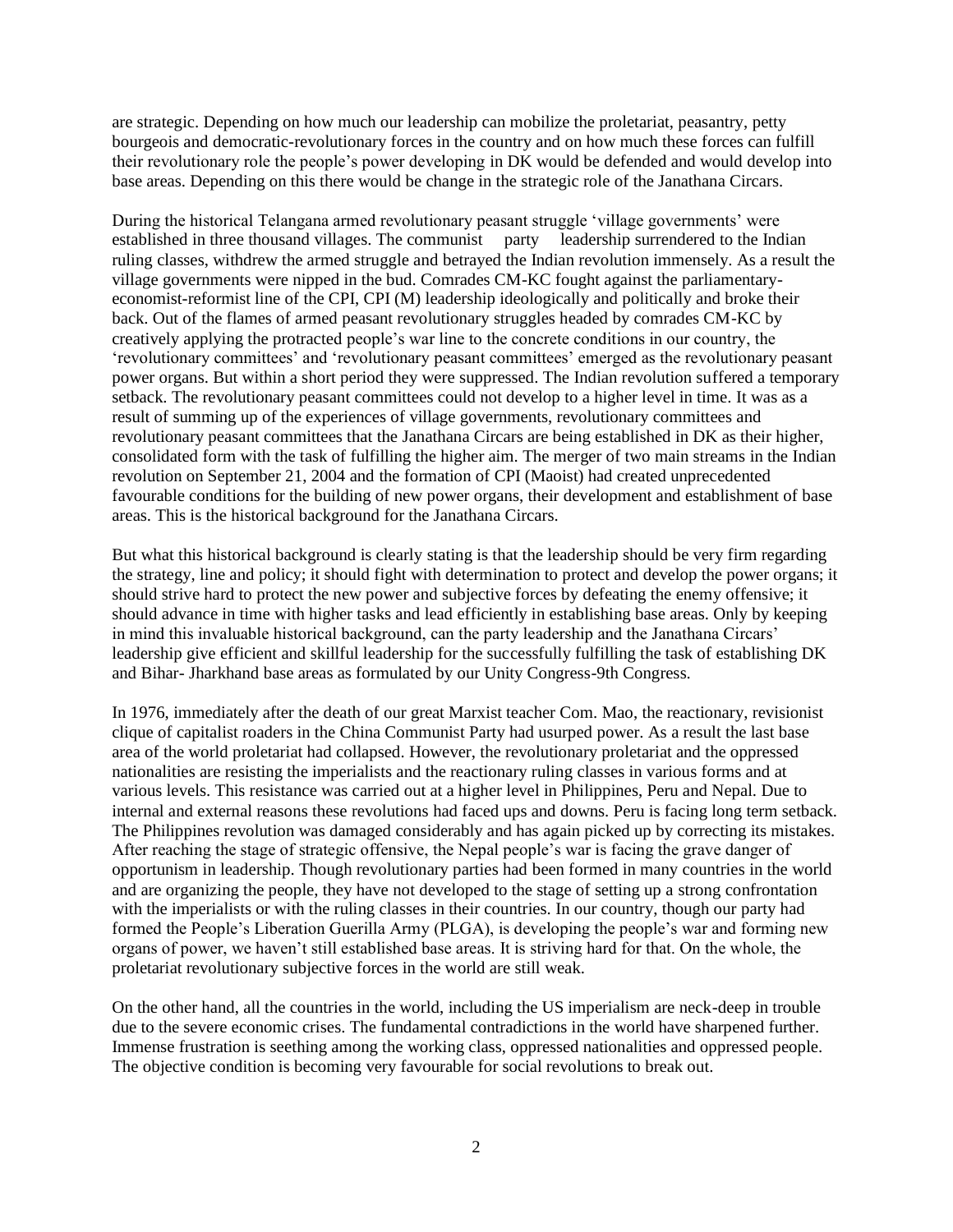are strategic. Depending on how much our leadership can mobilize the proletariat, peasantry, petty bourgeois and democratic-revolutionary forces in the country and on how much these forces can fulfill their revolutionary role the people's power developing in DK would be defended and would develop into base areas. Depending on this there would be change in the strategic role of the Janathana Circars.

During the historical Telangana armed revolutionary peasant struggle 'village governments' were established in three thousand villages. The communist party leadership surrendered to the Indian ruling classes, withdrew the armed struggle and betrayed the Indian revolution immensely. As a result the village governments were nipped in the bud. Comrades CM-KC fought against the parliamentaryeconomist-reformist line of the CPI, CPI (M) leadership ideologically and politically and broke their back. Out of the flames of armed peasant revolutionary struggles headed by comrades CM-KC by creatively applying the protracted people's war line to the concrete conditions in our country, the 'revolutionary committees' and 'revolutionary peasant committees' emerged as the revolutionary peasant power organs. But within a short period they were suppressed. The Indian revolution suffered a temporary setback. The revolutionary peasant committees could not develop to a higher level in time. It was as a result of summing up of the experiences of village governments, revolutionary committees and revolutionary peasant committees that the Janathana Circars are being established in DK as their higher, consolidated form with the task of fulfilling the higher aim. The merger of two main streams in the Indian revolution on September 21, 2004 and the formation of CPI (Maoist) had created unprecedented favourable conditions for the building of new power organs, their development and establishment of base areas. This is the historical background for the Janathana Circars.

But what this historical background is clearly stating is that the leadership should be very firm regarding the strategy, line and policy; it should fight with determination to protect and develop the power organs; it should strive hard to protect the new power and subjective forces by defeating the enemy offensive; it should advance in time with higher tasks and lead efficiently in establishing base areas. Only by keeping in mind this invaluable historical background, can the party leadership and the Janathana Circars' leadership give efficient and skillful leadership for the successfully fulfilling the task of establishing DK and Bihar- Jharkhand base areas as formulated by our Unity Congress-9th Congress.

In 1976, immediately after the death of our great Marxist teacher Com. Mao, the reactionary, revisionist clique of capitalist roaders in the China Communist Party had usurped power. As a result the last base area of the world proletariat had collapsed. However, the revolutionary proletariat and the oppressed nationalities are resisting the imperialists and the reactionary ruling classes in various forms and at various levels. This resistance was carried out at a higher level in Philippines, Peru and Nepal. Due to internal and external reasons these revolutions had faced ups and downs. Peru is facing long term setback. The Philippines revolution was damaged considerably and has again picked up by correcting its mistakes. After reaching the stage of strategic offensive, the Nepal people's war is facing the grave danger of opportunism in leadership. Though revolutionary parties had been formed in many countries in the world and are organizing the people, they have not developed to the stage of setting up a strong confrontation with the imperialists or with the ruling classes in their countries. In our country, though our party had formed the People's Liberation Guerilla Army (PLGA), is developing the people's war and forming new organs of power, we haven't still established base areas. It is striving hard for that. On the whole, the proletariat revolutionary subjective forces in the world are still weak.

On the other hand, all the countries in the world, including the US imperialism are neck-deep in trouble due to the severe economic crises. The fundamental contradictions in the world have sharpened further. Immense frustration is seething among the working class, oppressed nationalities and oppressed people. The objective condition is becoming very favourable for social revolutions to break out.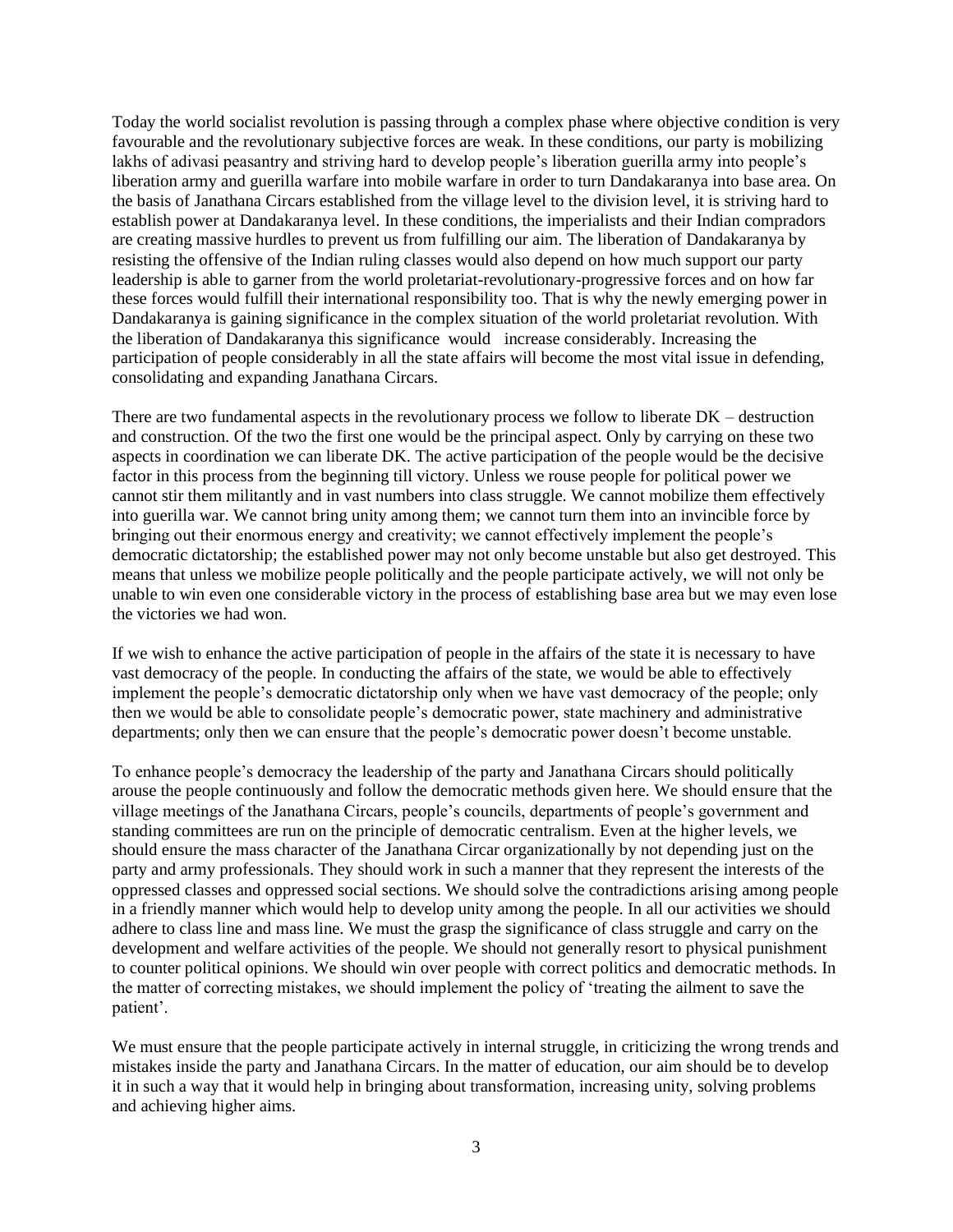Today the world socialist revolution is passing through a complex phase where objective condition is very favourable and the revolutionary subjective forces are weak. In these conditions, our party is mobilizing lakhs of adivasi peasantry and striving hard to develop people's liberation guerilla army into people's liberation army and guerilla warfare into mobile warfare in order to turn Dandakaranya into base area. On the basis of Janathana Circars established from the village level to the division level, it is striving hard to establish power at Dandakaranya level. In these conditions, the imperialists and their Indian compradors are creating massive hurdles to prevent us from fulfilling our aim. The liberation of Dandakaranya by resisting the offensive of the Indian ruling classes would also depend on how much support our party leadership is able to garner from the world proletariat-revolutionary-progressive forces and on how far these forces would fulfill their international responsibility too. That is why the newly emerging power in Dandakaranya is gaining significance in the complex situation of the world proletariat revolution. With the liberation of Dandakaranya this significance would increase considerably. Increasing the participation of people considerably in all the state affairs will become the most vital issue in defending, consolidating and expanding Janathana Circars.

There are two fundamental aspects in the revolutionary process we follow to liberate DK – destruction and construction. Of the two the first one would be the principal aspect. Only by carrying on these two aspects in coordination we can liberate DK. The active participation of the people would be the decisive factor in this process from the beginning till victory. Unless we rouse people for political power we cannot stir them militantly and in vast numbers into class struggle. We cannot mobilize them effectively into guerilla war. We cannot bring unity among them; we cannot turn them into an invincible force by bringing out their enormous energy and creativity; we cannot effectively implement the people's democratic dictatorship; the established power may not only become unstable but also get destroyed. This means that unless we mobilize people politically and the people participate actively, we will not only be unable to win even one considerable victory in the process of establishing base area but we may even lose the victories we had won.

If we wish to enhance the active participation of people in the affairs of the state it is necessary to have vast democracy of the people. In conducting the affairs of the state, we would be able to effectively implement the people's democratic dictatorship only when we have vast democracy of the people; only then we would be able to consolidate people's democratic power, state machinery and administrative departments; only then we can ensure that the people's democratic power doesn't become unstable.

To enhance people's democracy the leadership of the party and Janathana Circars should politically arouse the people continuously and follow the democratic methods given here. We should ensure that the village meetings of the Janathana Circars, people's councils, departments of people's government and standing committees are run on the principle of democratic centralism. Even at the higher levels, we should ensure the mass character of the Janathana Circar organizationally by not depending just on the party and army professionals. They should work in such a manner that they represent the interests of the oppressed classes and oppressed social sections. We should solve the contradictions arising among people in a friendly manner which would help to develop unity among the people. In all our activities we should adhere to class line and mass line. We must the grasp the significance of class struggle and carry on the development and welfare activities of the people. We should not generally resort to physical punishment to counter political opinions. We should win over people with correct politics and democratic methods. In the matter of correcting mistakes, we should implement the policy of 'treating the ailment to save the patient'.

We must ensure that the people participate actively in internal struggle, in criticizing the wrong trends and mistakes inside the party and Janathana Circars. In the matter of education, our aim should be to develop it in such a way that it would help in bringing about transformation, increasing unity, solving problems and achieving higher aims.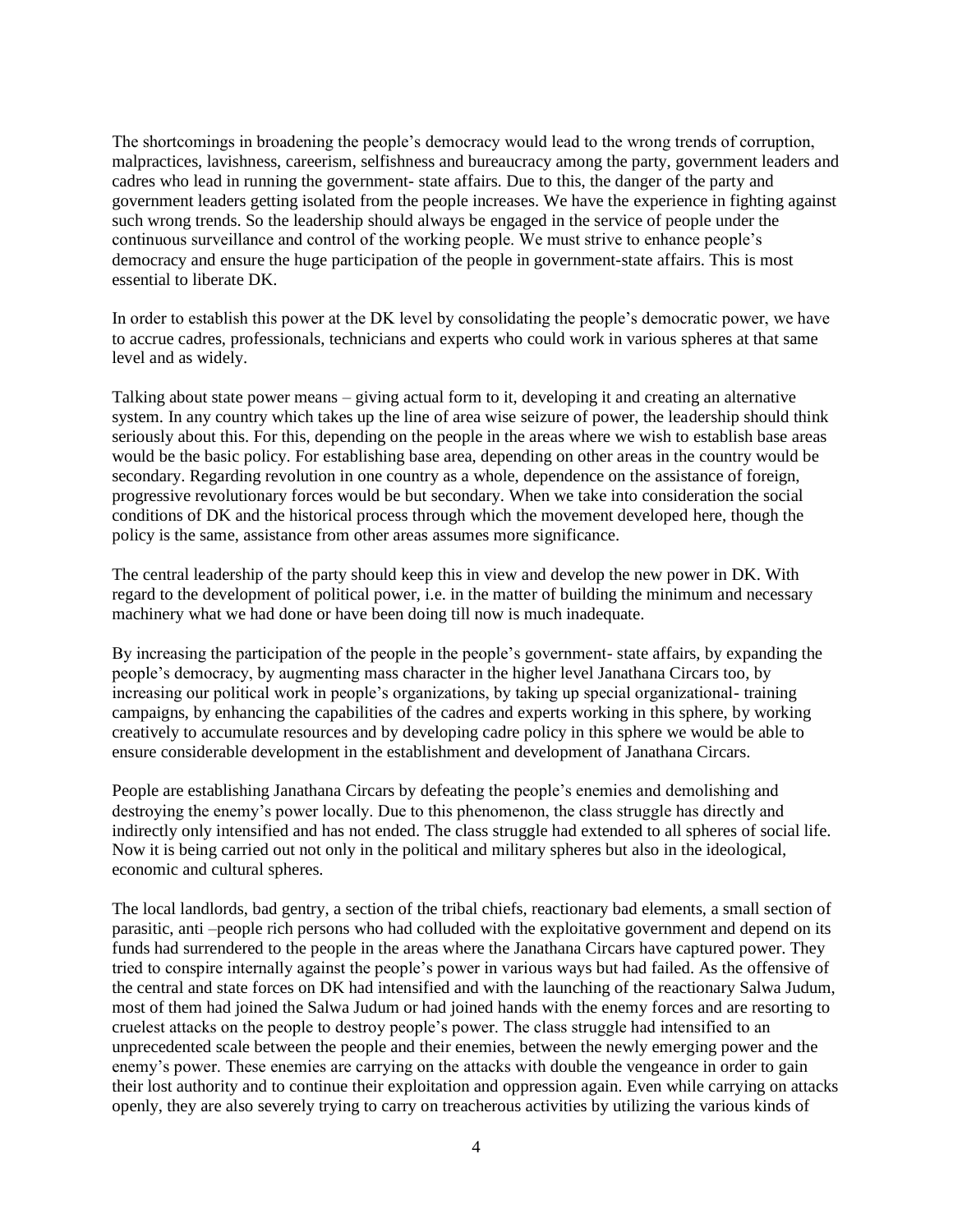The shortcomings in broadening the people's democracy would lead to the wrong trends of corruption, malpractices, lavishness, careerism, selfishness and bureaucracy among the party, government leaders and cadres who lead in running the government- state affairs. Due to this, the danger of the party and government leaders getting isolated from the people increases. We have the experience in fighting against such wrong trends. So the leadership should always be engaged in the service of people under the continuous surveillance and control of the working people. We must strive to enhance people's democracy and ensure the huge participation of the people in government-state affairs. This is most essential to liberate DK.

In order to establish this power at the DK level by consolidating the people's democratic power, we have to accrue cadres, professionals, technicians and experts who could work in various spheres at that same level and as widely.

Talking about state power means – giving actual form to it, developing it and creating an alternative system. In any country which takes up the line of area wise seizure of power, the leadership should think seriously about this. For this, depending on the people in the areas where we wish to establish base areas would be the basic policy. For establishing base area, depending on other areas in the country would be secondary. Regarding revolution in one country as a whole, dependence on the assistance of foreign, progressive revolutionary forces would be but secondary. When we take into consideration the social conditions of DK and the historical process through which the movement developed here, though the policy is the same, assistance from other areas assumes more significance.

The central leadership of the party should keep this in view and develop the new power in DK. With regard to the development of political power, i.e. in the matter of building the minimum and necessary machinery what we had done or have been doing till now is much inadequate.

By increasing the participation of the people in the people's government- state affairs, by expanding the people's democracy, by augmenting mass character in the higher level Janathana Circars too, by increasing our political work in people's organizations, by taking up special organizational- training campaigns, by enhancing the capabilities of the cadres and experts working in this sphere, by working creatively to accumulate resources and by developing cadre policy in this sphere we would be able to ensure considerable development in the establishment and development of Janathana Circars.

People are establishing Janathana Circars by defeating the people's enemies and demolishing and destroying the enemy's power locally. Due to this phenomenon, the class struggle has directly and indirectly only intensified and has not ended. The class struggle had extended to all spheres of social life. Now it is being carried out not only in the political and military spheres but also in the ideological, economic and cultural spheres.

The local landlords, bad gentry, a section of the tribal chiefs, reactionary bad elements, a small section of parasitic, anti –people rich persons who had colluded with the exploitative government and depend on its funds had surrendered to the people in the areas where the Janathana Circars have captured power. They tried to conspire internally against the people's power in various ways but had failed. As the offensive of the central and state forces on DK had intensified and with the launching of the reactionary Salwa Judum, most of them had joined the Salwa Judum or had joined hands with the enemy forces and are resorting to cruelest attacks on the people to destroy people's power. The class struggle had intensified to an unprecedented scale between the people and their enemies, between the newly emerging power and the enemy's power. These enemies are carrying on the attacks with double the vengeance in order to gain their lost authority and to continue their exploitation and oppression again. Even while carrying on attacks openly, they are also severely trying to carry on treacherous activities by utilizing the various kinds of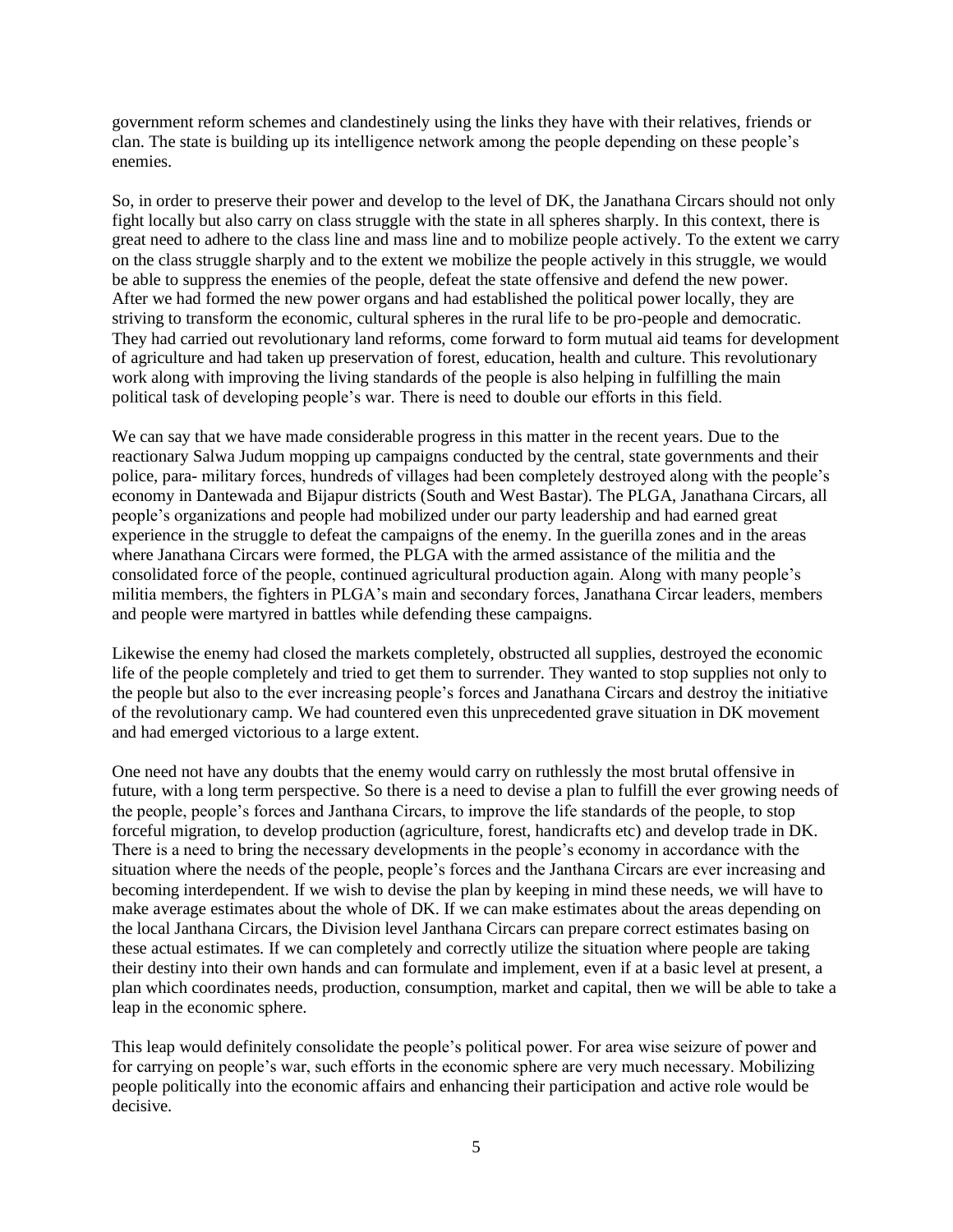government reform schemes and clandestinely using the links they have with their relatives, friends or clan. The state is building up its intelligence network among the people depending on these people's enemies.

So, in order to preserve their power and develop to the level of DK, the Janathana Circars should not only fight locally but also carry on class struggle with the state in all spheres sharply. In this context, there is great need to adhere to the class line and mass line and to mobilize people actively. To the extent we carry on the class struggle sharply and to the extent we mobilize the people actively in this struggle, we would be able to suppress the enemies of the people, defeat the state offensive and defend the new power. After we had formed the new power organs and had established the political power locally, they are striving to transform the economic, cultural spheres in the rural life to be pro-people and democratic. They had carried out revolutionary land reforms, come forward to form mutual aid teams for development of agriculture and had taken up preservation of forest, education, health and culture. This revolutionary work along with improving the living standards of the people is also helping in fulfilling the main political task of developing people's war. There is need to double our efforts in this field.

We can say that we have made considerable progress in this matter in the recent years. Due to the reactionary Salwa Judum mopping up campaigns conducted by the central, state governments and their police, para- military forces, hundreds of villages had been completely destroyed along with the people's economy in Dantewada and Bijapur districts (South and West Bastar). The PLGA, Janathana Circars, all people's organizations and people had mobilized under our party leadership and had earned great experience in the struggle to defeat the campaigns of the enemy. In the guerilla zones and in the areas where Janathana Circars were formed, the PLGA with the armed assistance of the militia and the consolidated force of the people, continued agricultural production again. Along with many people's militia members, the fighters in PLGA's main and secondary forces, Janathana Circar leaders, members and people were martyred in battles while defending these campaigns.

Likewise the enemy had closed the markets completely, obstructed all supplies, destroyed the economic life of the people completely and tried to get them to surrender. They wanted to stop supplies not only to the people but also to the ever increasing people's forces and Janathana Circars and destroy the initiative of the revolutionary camp. We had countered even this unprecedented grave situation in DK movement and had emerged victorious to a large extent.

One need not have any doubts that the enemy would carry on ruthlessly the most brutal offensive in future, with a long term perspective. So there is a need to devise a plan to fulfill the ever growing needs of the people, people's forces and Janthana Circars, to improve the life standards of the people, to stop forceful migration, to develop production (agriculture, forest, handicrafts etc) and develop trade in DK. There is a need to bring the necessary developments in the people's economy in accordance with the situation where the needs of the people, people's forces and the Janthana Circars are ever increasing and becoming interdependent. If we wish to devise the plan by keeping in mind these needs, we will have to make average estimates about the whole of DK. If we can make estimates about the areas depending on the local Janthana Circars, the Division level Janthana Circars can prepare correct estimates basing on these actual estimates. If we can completely and correctly utilize the situation where people are taking their destiny into their own hands and can formulate and implement, even if at a basic level at present, a plan which coordinates needs, production, consumption, market and capital, then we will be able to take a leap in the economic sphere.

This leap would definitely consolidate the people's political power. For area wise seizure of power and for carrying on people's war, such efforts in the economic sphere are very much necessary. Mobilizing people politically into the economic affairs and enhancing their participation and active role would be decisive.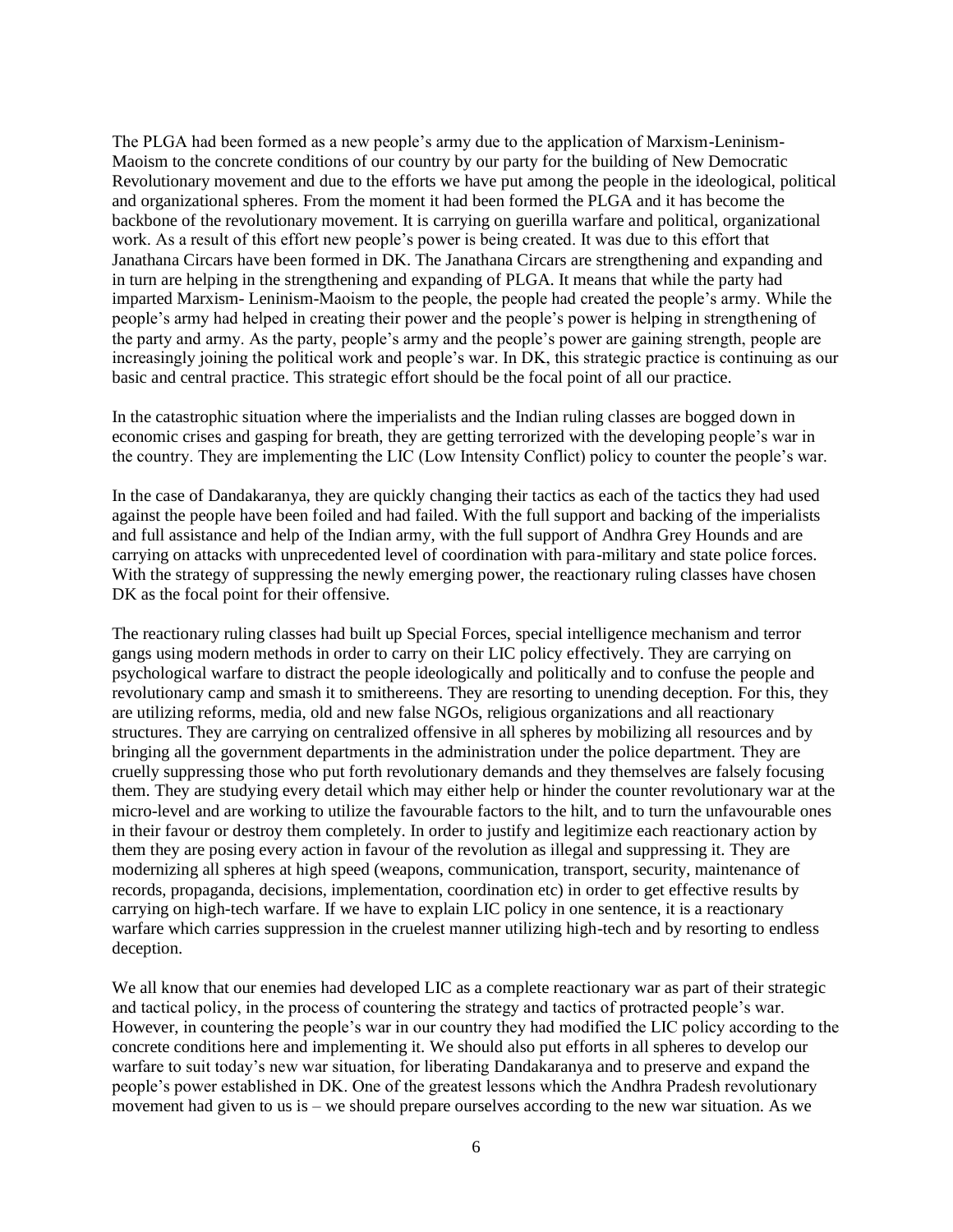The PLGA had been formed as a new people's army due to the application of Marxism-Leninism-Maoism to the concrete conditions of our country by our party for the building of New Democratic Revolutionary movement and due to the efforts we have put among the people in the ideological, political and organizational spheres. From the moment it had been formed the PLGA and it has become the backbone of the revolutionary movement. It is carrying on guerilla warfare and political, organizational work. As a result of this effort new people's power is being created. It was due to this effort that Janathana Circars have been formed in DK. The Janathana Circars are strengthening and expanding and in turn are helping in the strengthening and expanding of PLGA. It means that while the party had imparted Marxism- Leninism-Maoism to the people, the people had created the people's army. While the people's army had helped in creating their power and the people's power is helping in strengthening of the party and army. As the party, people's army and the people's power are gaining strength, people are increasingly joining the political work and people's war. In DK, this strategic practice is continuing as our basic and central practice. This strategic effort should be the focal point of all our practice.

In the catastrophic situation where the imperialists and the Indian ruling classes are bogged down in economic crises and gasping for breath, they are getting terrorized with the developing people's war in the country. They are implementing the LIC (Low Intensity Conflict) policy to counter the people's war.

In the case of Dandakaranya, they are quickly changing their tactics as each of the tactics they had used against the people have been foiled and had failed. With the full support and backing of the imperialists and full assistance and help of the Indian army, with the full support of Andhra Grey Hounds and are carrying on attacks with unprecedented level of coordination with para-military and state police forces. With the strategy of suppressing the newly emerging power, the reactionary ruling classes have chosen DK as the focal point for their offensive.

The reactionary ruling classes had built up Special Forces, special intelligence mechanism and terror gangs using modern methods in order to carry on their LIC policy effectively. They are carrying on psychological warfare to distract the people ideologically and politically and to confuse the people and revolutionary camp and smash it to smithereens. They are resorting to unending deception. For this, they are utilizing reforms, media, old and new false NGOs, religious organizations and all reactionary structures. They are carrying on centralized offensive in all spheres by mobilizing all resources and by bringing all the government departments in the administration under the police department. They are cruelly suppressing those who put forth revolutionary demands and they themselves are falsely focusing them. They are studying every detail which may either help or hinder the counter revolutionary war at the micro-level and are working to utilize the favourable factors to the hilt, and to turn the unfavourable ones in their favour or destroy them completely. In order to justify and legitimize each reactionary action by them they are posing every action in favour of the revolution as illegal and suppressing it. They are modernizing all spheres at high speed (weapons, communication, transport, security, maintenance of records, propaganda, decisions, implementation, coordination etc) in order to get effective results by carrying on high-tech warfare. If we have to explain LIC policy in one sentence, it is a reactionary warfare which carries suppression in the cruelest manner utilizing high-tech and by resorting to endless deception.

We all know that our enemies had developed LIC as a complete reactionary war as part of their strategic and tactical policy, in the process of countering the strategy and tactics of protracted people's war. However, in countering the people's war in our country they had modified the LIC policy according to the concrete conditions here and implementing it. We should also put efforts in all spheres to develop our warfare to suit today's new war situation, for liberating Dandakaranya and to preserve and expand the people's power established in DK. One of the greatest lessons which the Andhra Pradesh revolutionary movement had given to us is – we should prepare ourselves according to the new war situation. As we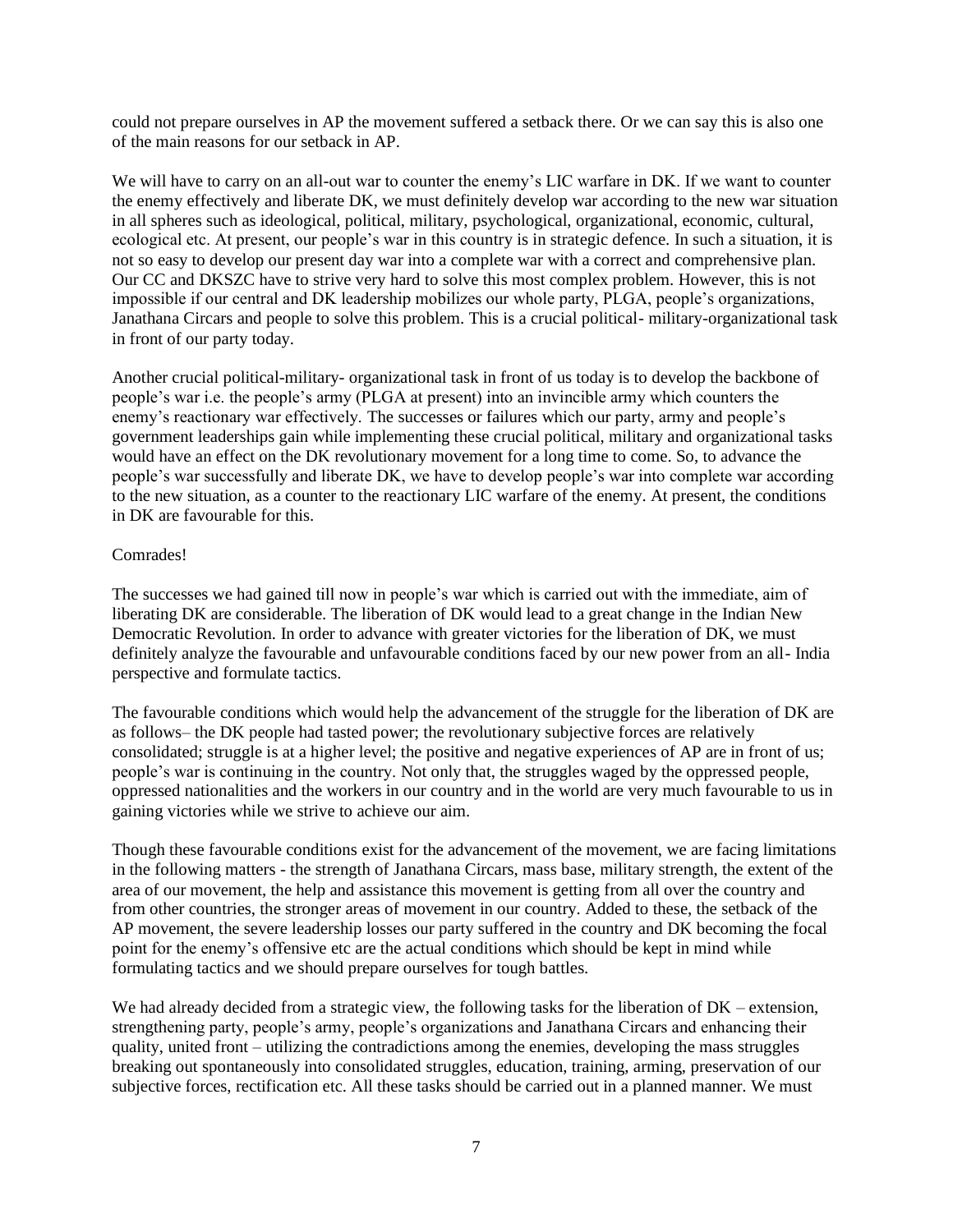could not prepare ourselves in AP the movement suffered a setback there. Or we can say this is also one of the main reasons for our setback in AP.

We will have to carry on an all-out war to counter the enemy's LIC warfare in DK. If we want to counter the enemy effectively and liberate DK, we must definitely develop war according to the new war situation in all spheres such as ideological, political, military, psychological, organizational, economic, cultural, ecological etc. At present, our people's war in this country is in strategic defence. In such a situation, it is not so easy to develop our present day war into a complete war with a correct and comprehensive plan. Our CC and DKSZC have to strive very hard to solve this most complex problem. However, this is not impossible if our central and DK leadership mobilizes our whole party, PLGA, people's organizations, Janathana Circars and people to solve this problem. This is a crucial political- military-organizational task in front of our party today.

Another crucial political-military- organizational task in front of us today is to develop the backbone of people's war i.e. the people's army (PLGA at present) into an invincible army which counters the enemy's reactionary war effectively. The successes or failures which our party, army and people's government leaderships gain while implementing these crucial political, military and organizational tasks would have an effect on the DK revolutionary movement for a long time to come. So, to advance the people's war successfully and liberate DK, we have to develop people's war into complete war according to the new situation, as a counter to the reactionary LIC warfare of the enemy. At present, the conditions in DK are favourable for this.

## Comrades!

The successes we had gained till now in people's war which is carried out with the immediate, aim of liberating DK are considerable. The liberation of DK would lead to a great change in the Indian New Democratic Revolution. In order to advance with greater victories for the liberation of DK, we must definitely analyze the favourable and unfavourable conditions faced by our new power from an all- India perspective and formulate tactics.

The favourable conditions which would help the advancement of the struggle for the liberation of DK are as follows– the DK people had tasted power; the revolutionary subjective forces are relatively consolidated; struggle is at a higher level; the positive and negative experiences of AP are in front of us; people's war is continuing in the country. Not only that, the struggles waged by the oppressed people, oppressed nationalities and the workers in our country and in the world are very much favourable to us in gaining victories while we strive to achieve our aim.

Though these favourable conditions exist for the advancement of the movement, we are facing limitations in the following matters - the strength of Janathana Circars, mass base, military strength, the extent of the area of our movement, the help and assistance this movement is getting from all over the country and from other countries, the stronger areas of movement in our country. Added to these, the setback of the AP movement, the severe leadership losses our party suffered in the country and DK becoming the focal point for the enemy's offensive etc are the actual conditions which should be kept in mind while formulating tactics and we should prepare ourselves for tough battles.

We had already decided from a strategic view, the following tasks for the liberation of DK – extension, strengthening party, people's army, people's organizations and Janathana Circars and enhancing their quality, united front – utilizing the contradictions among the enemies, developing the mass struggles breaking out spontaneously into consolidated struggles, education, training, arming, preservation of our subjective forces, rectification etc. All these tasks should be carried out in a planned manner. We must